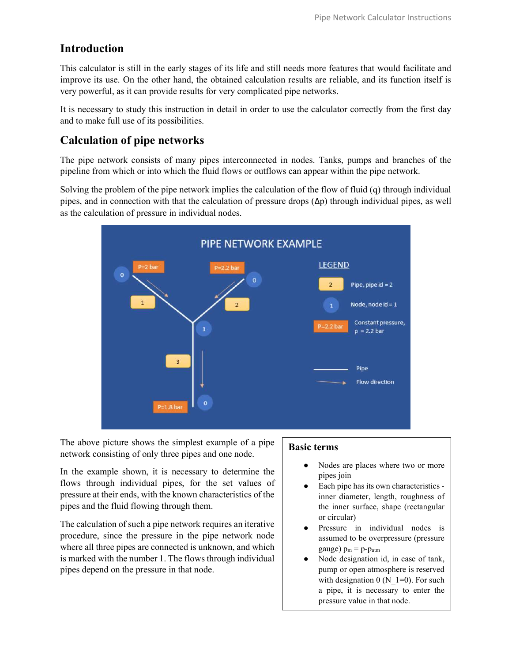## Introduction

This calculator is still in the early stages of its life and still needs more features that would facilitate and improve its use. On the other hand, the obtained calculation results are reliable, and its function itself is very powerful, as it can provide results for very complicated pipe networks.

It is necessary to study this instruction in detail in order to use the calculator correctly from the first day and to make full use of its possibilities.

## Calculation of pipe networks

The pipe network consists of many pipes interconnected in nodes. Tanks, pumps and branches of the pipeline from which or into which the fluid flows or outflows can appear within the pipe network.

Solving the problem of the pipe network implies the calculation of the flow of fluid (q) through individual pipes, and in connection with that the calculation of pressure drops  $(\Delta p)$  through individual pipes, as well as the calculation of pressure in individual nodes.



The above picture shows the simplest example of a pipe network consisting of only three pipes and one node.

In the example shown, it is necessary to determine the flows through individual pipes, for the set values of pressure at their ends, with the known characteristics of the pipes and the fluid flowing through them.

The calculation of such a pipe network requires an iterative procedure, since the pressure in the pipe network node where all three pipes are connected is unknown, and which is marked with the number 1. The flows through individual pipes depend on the pressure in that node.

#### Basic terms

- Nodes are places where two or more pipes join
- Each pipe has its own characteristics inner diameter, length, roughness of the inner surface, shape (rectangular or circular)
- Pressure in individual nodes is assumed to be overpressure (pressure gauge)  $p_m = p-p_{atm}$
- Node designation id, in case of tank, pump or open atmosphere is reserved with designation  $0$  (N\_1=0). For such a pipe, it is necessary to enter the pressure value in that node.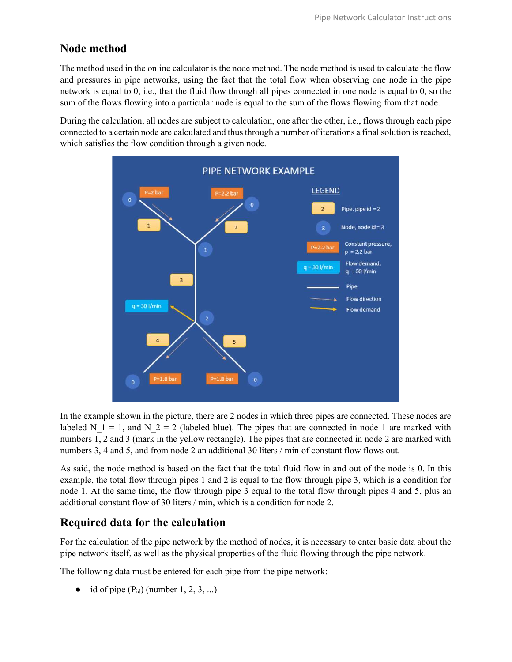## Node method

The method used in the online calculator is the node method. The node method is used to calculate the flow and pressures in pipe networks, using the fact that the total flow when observing one node in the pipe network is equal to 0, i.e., that the fluid flow through all pipes connected in one node is equal to 0, so the sum of the flows flowing into a particular node is equal to the sum of the flows flowing from that node.

During the calculation, all nodes are subject to calculation, one after the other, i.e., flows through each pipe connected to a certain node are calculated and thus through a number of iterations a final solution is reached, which satisfies the flow condition through a given node.



In the example shown in the picture, there are 2 nodes in which three pipes are connected. These nodes are labeled N\_1 = 1, and N\_2 = 2 (labeled blue). The pipes that are connected in node 1 are marked with numbers 1, 2 and 3 (mark in the yellow rectangle). The pipes that are connected in node 2 are marked with numbers 3, 4 and 5, and from node 2 an additional 30 liters / min of constant flow flows out.

As said, the node method is based on the fact that the total fluid flow in and out of the node is 0. In this example, the total flow through pipes 1 and 2 is equal to the flow through pipe 3, which is a condition for node 1. At the same time, the flow through pipe 3 equal to the total flow through pipes 4 and 5, plus an additional constant flow of 30 liters / min, which is a condition for node 2.

### Required data for the calculation

For the calculation of the pipe network by the method of nodes, it is necessary to enter basic data about the pipe network itself, as well as the physical properties of the fluid flowing through the pipe network.

The following data must be entered for each pipe from the pipe network:

• id of pipe  $(P_{id})$  (number 1, 2, 3, ...)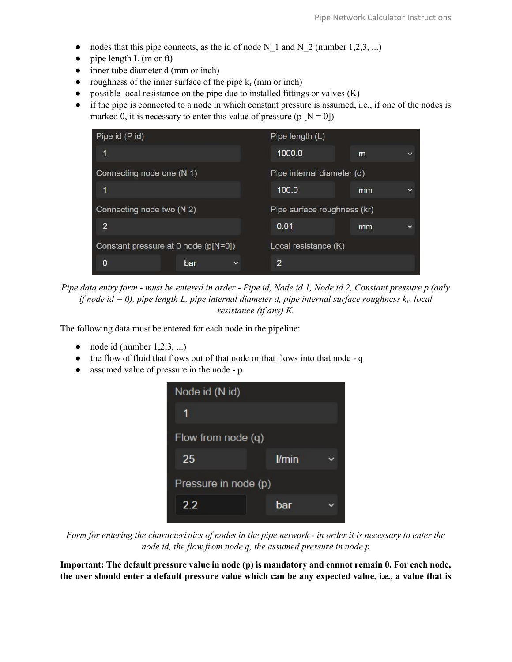- nodes that this pipe connects, as the id of node N\_1 and N\_2 (number 1,2,3, ...)
- $\bullet$  pipe length L (m or ft)
- inner tube diameter d (mm or inch)
- roughness of the inner surface of the pipe  $k_r$  (mm or inch)
- $\bullet$  possible local resistance on the pipe due to installed fittings or valves  $(K)$
- if the pipe is connected to a node in which constant pressure is assumed, i.e., if one of the nodes is marked 0, it is necessary to enter this value of pressure (p  $[N = 0]$ )

| Pipe id (P id)                       |              | Pipe length (L)             |    |              |
|--------------------------------------|--------------|-----------------------------|----|--------------|
| 1                                    |              | 1000.0                      | m  | $\checkmark$ |
| Connecting node one (N 1)            |              | Pipe internal diameter (d)  |    |              |
| 1                                    |              | 100.0                       | mm | $\checkmark$ |
| Connecting node two (N 2)            |              | Pipe surface roughness (kr) |    |              |
| $\overline{2}$                       |              | 0.01                        | mm | $\checkmark$ |
| Constant pressure at 0 node (p[N=0]) |              | Local resistance (K)        |    |              |
| 0<br>bar                             | $\checkmark$ | $\overline{2}$              |    |              |

Pipe data entry form - must be entered in order - Pipe id, Node id 1, Node id 2, Constant pressure p (only if node id = 0), pipe length L, pipe internal diameter d, pipe internal surface roughness  $k_r$ , local resistance (if any) К.

The following data must be entered for each node in the pipeline:

- $\bullet$  node id (number 1,2,3, ...)
- the flow of fluid that flows out of that node or that flows into that node q
- assumed value of pressure in the node p



Form for entering the characteristics of nodes in the pipe network - in order it is necessary to enter the node id, the flow from node q, the assumed pressure in node p

Important: The default pressure value in node (p) is mandatory and cannot remain 0. For each node, the user should enter a default pressure value which can be any expected value, i.e., a value that is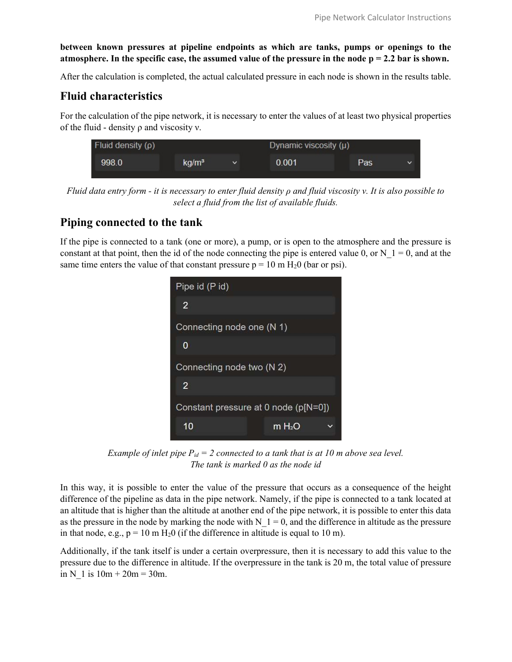between known pressures at pipeline endpoints as which are tanks, pumps or openings to the atmosphere. In the specific case, the assumed value of the pressure in the node  $p = 2.2$  bar is shown.

After the calculation is completed, the actual calculated pressure in each node is shown in the results table.

### Fluid characteristics

For the calculation of the pipe network, it is necessary to enter the values of at least two physical properties of the fluid - density ρ and viscosity ν.

| Fluid density $(\rho)$ |                   |              | Dynamic viscosity $(\mu)$ |     |             |
|------------------------|-------------------|--------------|---------------------------|-----|-------------|
| 998.0                  | kq/m <sup>3</sup> | $\checkmark$ | 0.001                     | Pas | $\check{ }$ |

Fluid data entry form - it is necessary to enter fluid density  $\rho$  and fluid viscosity v. It is also possible to select a fluid from the list of available fluids.

## Piping connected to the tank

If the pipe is connected to a tank (one or more), a pump, or is open to the atmosphere and the pressure is constant at that point, then the id of the node connecting the pipe is entered value 0, or N\_1 = 0, and at the same time enters the value of that constant pressure  $p = 10$  m  $H<sub>2</sub>0$  (bar or psi).



Example of inlet pipe  $P_{id} = 2$  connected to a tank that is at 10 m above sea level. The tank is marked 0 as the node id

In this way, it is possible to enter the value of the pressure that occurs as a consequence of the height difference of the pipeline as data in the pipe network. Namely, if the pipe is connected to a tank located at an altitude that is higher than the altitude at another end of the pipe network, it is possible to enter this data as the pressure in the node by marking the node with  $N<sub>1</sub> = 0$ , and the difference in altitude as the pressure in that node, e.g.,  $p = 10$  m H<sub>2</sub>0 (if the difference in altitude is equal to 10 m).

Additionally, if the tank itself is under a certain overpressure, then it is necessary to add this value to the pressure due to the difference in altitude. If the overpressure in the tank is 20 m, the total value of pressure in N\_1 is  $10m + 20m = 30m$ .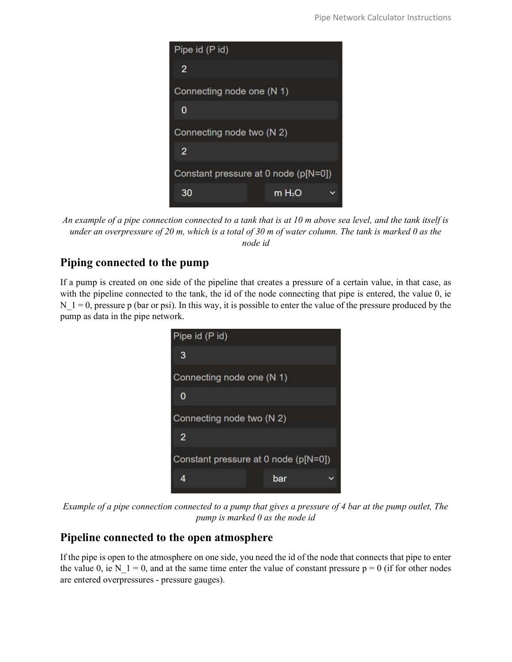

An example of a pipe connection connected to a tank that is at 10 m above sea level, and the tank itself is under an overpressure of 20 m, which is a total of 30 m of water column. The tank is marked 0 as the node id

# Piping connected to the pump

If a pump is created on one side of the pipeline that creates a pressure of a certain value, in that case, as with the pipeline connected to the tank, the id of the node connecting that pipe is entered, the value 0, ie N  $1 = 0$ , pressure p (bar or psi). In this way, it is possible to enter the value of the pressure produced by the pump as data in the pipe network.



Example of a pipe connection connected to a pump that gives a pressure of 4 bar at the pump outlet, The pump is marked 0 as the node id

# Pipeline connected to the open atmosphere

If the pipe is open to the atmosphere on one side, you need the id of the node that connects that pipe to enter the value 0, ie N\_1 = 0, and at the same time enter the value of constant pressure  $p = 0$  (if for other nodes are entered overpressures - pressure gauges).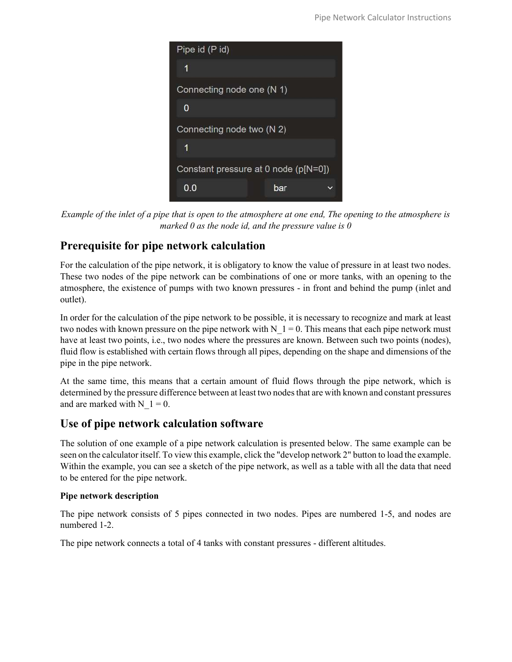| Pipe id (P id)                       |  |
|--------------------------------------|--|
| 1                                    |  |
| Connecting node one (N 1)            |  |
| 0                                    |  |
| Connecting node two (N 2)            |  |
| 1                                    |  |
| Constant pressure at 0 node (p[N=0]) |  |
| 0.0<br>bar                           |  |

Example of the inlet of a pipe that is open to the atmosphere at one end, The opening to the atmosphere is marked 0 as the node id, and the pressure value is  $\theta$ 

# Prerequisite for pipe network calculation

For the calculation of the pipe network, it is obligatory to know the value of pressure in at least two nodes. These two nodes of the pipe network can be combinations of one or more tanks, with an opening to the atmosphere, the existence of pumps with two known pressures - in front and behind the pump (inlet and outlet).

In order for the calculation of the pipe network to be possible, it is necessary to recognize and mark at least two nodes with known pressure on the pipe network with  $N<sub>1</sub> = 0$ . This means that each pipe network must have at least two points, i.e., two nodes where the pressures are known. Between such two points (nodes), fluid flow is established with certain flows through all pipes, depending on the shape and dimensions of the pipe in the pipe network.

At the same time, this means that a certain amount of fluid flows through the pipe network, which is determined by the pressure difference between at least two nodes that are with known and constant pressures and are marked with  $N$   $1 = 0$ .

## Use of pipe network calculation software

The solution of one example of a pipe network calculation is presented below. The same example can be seen on the calculator itself. To view this example, click the "develop network 2" button to load the example. Within the example, you can see a sketch of the pipe network, as well as a table with all the data that need to be entered for the pipe network.

### Pipe network description

The pipe network consists of 5 pipes connected in two nodes. Pipes are numbered 1-5, and nodes are numbered 1-2.

The pipe network connects a total of 4 tanks with constant pressures - different altitudes.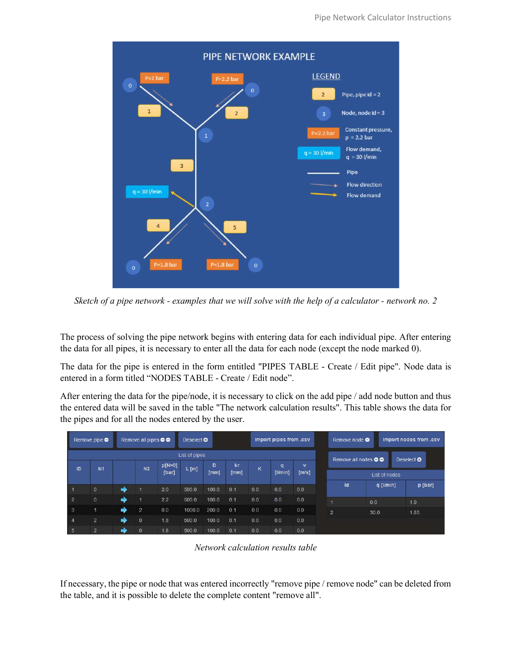

Sketch of a pipe network - examples that we will solve with the help of a calculator - network no. 2

The process of solving the pipe network begins with entering data for each individual pipe. After entering the data for all pipes, it is necessary to enter all the data for each node (except the node marked 0).

The data for the pipe is entered in the form entitled "PIPES TABLE - Create / Edit pipe". Node data is entered in a form titled "NODES TABLE - Create / Edit node".

After entering the data for the pipe/node, it is necessary to click on the add pipe / add node button and thus the entered data will be saved in the table "The network calculation results". This table shows the data for the pipes and for all the nodes entered by the user.

|                | Remove pipe $\bullet$ |               | Remove all pipes $\bullet \bullet$ |          | Deselect <sup>O</sup> |       |      |                | Import pipes from .csv |       | Remove node $\bullet$      |                 |  | Import nodes from .csv |
|----------------|-----------------------|---------------|------------------------------------|----------|-----------------------|-------|------|----------------|------------------------|-------|----------------------------|-----------------|--|------------------------|
|                |                       |               |                                    |          | List of pipes         |       |      |                |                        |       | Remove all nodes <b>OO</b> |                 |  | Deselect <b>O</b>      |
| ID             | N <sub>1</sub>        |               | N2                                 | $p[N=0]$ | L[m]                  | D     | kr   | K              | q                      | v     |                            |                 |  |                        |
|                |                       |               |                                    | [bar]    |                       | [mm]  | [mm] |                | $[$ l/min $]$          | [m/s] |                            | List of nodes   |  |                        |
|                | $\overline{0}$        | $\Rightarrow$ | a,                                 | 2.0      | 500.0                 | 100.0 | 0.1  | 0.0            | 0.0                    | 0.0   | Id                         | $q$ [ $l/min$ ] |  | p [bar]                |
| $\overline{2}$ | $\ddot{\mathbf{0}}$   | ۰             | п                                  | 2.2      | 500.0                 | 100.0 | 0.1  | 0 <sub>0</sub> | 0.0                    | 0.0   |                            | 0.0             |  | 1.9                    |
| 3              | п                     |               | $\overline{2}$                     | 0.0      | 1000.0                | 200.0 | 0.1  | 0.0            | 0.0                    | 0.0   | $\overline{2}$             | 30.0            |  | 1.85                   |
| $\overline{4}$ | $\overline{2}$        | ➡             | $\overline{0}$                     | 1.8      | 500.0                 | 1000  | 0.1  | 0 <sub>0</sub> | 0.0                    | 0.0   |                            |                 |  |                        |
| 5              | $\overline{2}$        | ∙             | $\Omega$                           | 18       | 500.0                 | 100.0 | 0.1  | 0.0            | 0.0                    | 0.0   |                            |                 |  |                        |

Network calculation results table

If necessary, the pipe or node that was entered incorrectly "remove pipe / remove node" can be deleted from the table, and it is possible to delete the complete content "remove all".